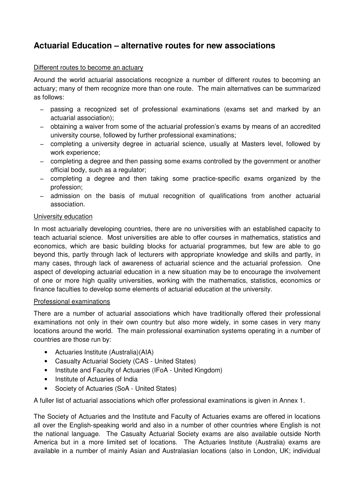# **Actuarial Education – alternative routes for new associations**

### Different routes to become an actuary

Around the world actuarial associations recognize a number of different routes to becoming an actuary; many of them recognize more than one route. The main alternatives can be summarized as follows:

- − passing a recognized set of professional examinations (exams set and marked by an actuarial association);
- − obtaining a waiver from some of the actuarial profession's exams by means of an accredited university course, followed by further professional examinations;
- − completing a university degree in actuarial science, usually at Masters level, followed by work experience;
- − completing a degree and then passing some exams controlled by the government or another official body, such as a regulator;
- − completing a degree and then taking some practice-specific exams organized by the profession;
- − admission on the basis of mutual recognition of qualifications from another actuarial association.

## University education

In most actuarially developing countries, there are no universities with an established capacity to teach actuarial science. Most universities are able to offer courses in mathematics, statistics and economics, which are basic building blocks for actuarial programmes, but few are able to go beyond this, partly through lack of lecturers with appropriate knowledge and skills and partly, in many cases, through lack of awareness of actuarial science and the actuarial profession. One aspect of developing actuarial education in a new situation may be to encourage the involvement of one or more high quality universities, working with the mathematics, statistics, economics or finance faculties to develop some elements of actuarial education at the university.

### Professional examinations

There are a number of actuarial associations which have traditionally offered their professional examinations not only in their own country but also more widely, in some cases in very many locations around the world. The main professional examination systems operating in a number of countries are those run by:

- Actuaries Institute (Australia)(AIA)
- Casualty Actuarial Society (CAS United States)
- Institute and Faculty of Actuaries (IFoA United Kingdom)
- Institute of Actuaries of India
- Society of Actuaries (SoA United States)

A fuller list of actuarial associations which offer professional examinations is given in Annex 1.

The Society of Actuaries and the Institute and Faculty of Actuaries exams are offered in locations all over the English-speaking world and also in a number of other countries where English is not the national language. The Casualty Actuarial Society exams are also available outside North America but in a more limited set of locations. The Actuaries Institute (Australia) exams are available in a number of mainly Asian and Australasian locations (also in London, UK; individual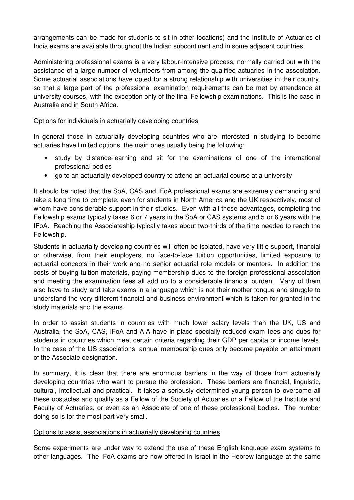arrangements can be made for students to sit in other locations) and the Institute of Actuaries of India exams are available throughout the Indian subcontinent and in some adjacent countries.

Administering professional exams is a very labour-intensive process, normally carried out with the assistance of a large number of volunteers from among the qualified actuaries in the association. Some actuarial associations have opted for a strong relationship with universities in their country, so that a large part of the professional examination requirements can be met by attendance at university courses, with the exception only of the final Fellowship examinations. This is the case in Australia and in South Africa.

## Options for individuals in actuarially developing countries

In general those in actuarially developing countries who are interested in studying to become actuaries have limited options, the main ones usually being the following:

- study by distance-learning and sit for the examinations of one of the international professional bodies
- go to an actuarially developed country to attend an actuarial course at a university

It should be noted that the SoA, CAS and IFoA professional exams are extremely demanding and take a long time to complete, even for students in North America and the UK respectively, most of whom have considerable support in their studies. Even with all these advantages, completing the Fellowship exams typically takes 6 or 7 years in the SoA or CAS systems and 5 or 6 years with the IFoA. Reaching the Associateship typically takes about two-thirds of the time needed to reach the Fellowship.

Students in actuarially developing countries will often be isolated, have very little support, financial or otherwise, from their employers, no face-to-face tuition opportunities, limited exposure to actuarial concepts in their work and no senior actuarial role models or mentors. In addition the costs of buying tuition materials, paying membership dues to the foreign professional association and meeting the examination fees all add up to a considerable financial burden. Many of them also have to study and take exams in a language which is not their mother tongue and struggle to understand the very different financial and business environment which is taken for granted in the study materials and the exams.

In order to assist students in countries with much lower salary levels than the UK, US and Australia, the SoA, CAS, IFoA and AIA have in place specially reduced exam fees and dues for students in countries which meet certain criteria regarding their GDP per capita or income levels. In the case of the US associations, annual membership dues only become payable on attainment of the Associate designation.

In summary, it is clear that there are enormous barriers in the way of those from actuarially developing countries who want to pursue the profession. These barriers are financial, linguistic, cultural, intellectual and practical. It takes a seriously determined young person to overcome all these obstacles and qualify as a Fellow of the Society of Actuaries or a Fellow of the Institute and Faculty of Actuaries, or even as an Associate of one of these professional bodies. The number doing so is for the most part very small.

### Options to assist associations in actuarially developing countries

Some experiments are under way to extend the use of these English language exam systems to other languages. The IFoA exams are now offered in Israel in the Hebrew language at the same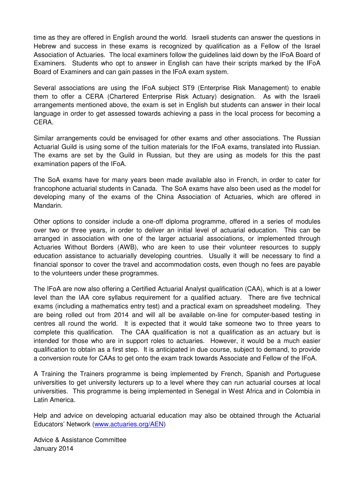time as they are offered in English around the world. Israeli students can answer the questions in Hebrew and success in these exams is recognized by qualification as a Fellow of the Israel Association of Actuaries. The local examiners follow the guidelines laid down by the IFoA Board of Examiners. Students who opt to answer in English can have their scripts marked by the IFoA Board of Examiners and can gain passes in the IFoA exam system.

Several associations are using the IFoA subject ST9 (Enterprise Risk Management) to enable them to offer a CERA (Chartered Enterprise Risk Actuary) designation. As with the Israeli arrangements mentioned above, the exam is set in English but students can answer in their local language in order to get assessed towards achieving a pass in the local process for becoming a CERA.

Similar arrangements could be envisaged for other exams and other associations. The Russian Actuarial Guild is using some of the tuition materials for the IFoA exams, translated into Russian. The exams are set by the Guild in Russian, but they are using as models for this the past examination papers of the IFoA.

The SoA exams have for many years been made available also in French, in order to cater for francophone actuarial students in Canada. The SoA exams have also been used as the model for developing many of the exams of the China Association of Actuaries, which are offered in Mandarin.

Other options to consider include a one-off diploma programme, offered in a series of modules over two or three years, in order to deliver an initial level of actuarial education. This can be arranged in association with one of the larger actuarial associations, or implemented through Actuaries Without Borders (AWB), who are keen to use their volunteer resources to supply education assistance to actuarially developing countries. Usually it will be necessary to find a financial sponsor to cover the travel and accommodation costs, even though no fees are payable to the volunteers under these programmes.

The IFoA are now also offering a Certified Actuarial Analyst qualification (CAA), which is at a lower level than the IAA core syllabus requirement for a qualified actuary. There are five technical exams (including a mathematics entry test) and a practical exam on spreadsheet modeling. They are being rolled out from 2014 and will all be available on-line for computer-based testing in centres all round the world. It is expected that it would take someone two to three years to complete this qualification. The CAA qualification is not a qualification as an actuary but is intended for those who are in support roles to actuaries. However, it would be a much easier qualification to obtain as a first step. It is anticipated in due course, subject to demand, to provide a conversion route for CAAs to get onto the exam track towards Associate and Fellow of the IFoA.

A Training the Trainers programme is being implemented by French, Spanish and Portuguese universities to get university lecturers up to a level where they can run actuarial courses at local universities. This programme is being implemented in Senegal in West Africa and in Colombia in Latin America.

Help and advice on developing actuarial education may also be obtained through the Actuarial Educators' Network (www.actuaries.org/AEN)

Advice & Assistance Committee January 2014